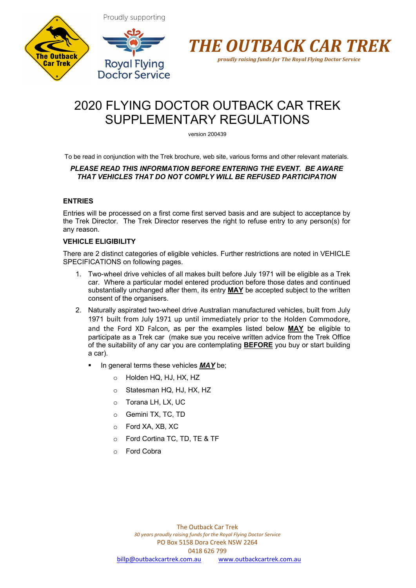



Proudly supporting



*proudly raising funds for The Royal Flying Doctor Service*

# 2020 FLYING DOCTOR OUTBACK CAR TREK SUPPLEMENTARY REGULATIONS

version 200439

To be read in conjunction with the Trek brochure, web site, various forms and other relevant materials.

# *PLEASE READ THIS INFORMATION BEFORE ENTERING THE EVENT. BE AWARE THAT VEHICLES THAT DO NOT COMPLY WILL BE REFUSED PARTICIPATION*

# **ENTRIES**

Entries will be processed on a first come first served basis and are subject to acceptance by the Trek Director. The Trek Director reserves the right to refuse entry to any person(s) for any reason.

# **VEHICLE ELIGIBILITY**

There are 2 distinct categories of eligible vehicles. Further restrictions are noted in VEHICLE SPECIFICATIONS on following pages.

- 1. Two-wheel drive vehicles of all makes built before July 1971 will be eligible as a Trek car. Where a particular model entered production before those dates and continued substantially unchanged after them, its entry **MAY** be accepted subject to the written consent of the organisers.
- 2. Naturally aspirated two-wheel drive Australian manufactured vehicles, built from July 1971 built from July 1971 up until immediately prior to the Holden Commodore, and the Ford XD Falcon, as per the examples listed below **MAY** be eligible to participate as a Trek car (make sue you receive written advice from the Trek Office of the suitability of any car you are contemplating **BEFORE** you buy or start building a car).
	- § In general terms these vehicles *MAY* be;
		- o Holden HQ, HJ, HX, HZ
		- o Statesman HQ, HJ, HX, HZ
		- o Torana LH, LX, UC
		- o Gemini TX, TC, TD
		- o Ford XA, XB, XC
		- o Ford Cortina TC, TD, TE & TF
		- o Ford Cobra

The Outback Car Trek *30 years proudly raising funds for the Royal Flying Doctor Service* PO Box 5158 Dora Creek NSW 2264 0418 626 799 billp@outbackcartrek.com.au www.outbackcartrek.com.au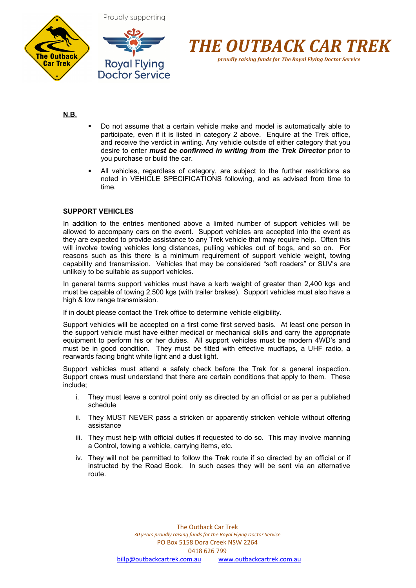





# **N.B.**

- Do not assume that a certain vehicle make and model is automatically able to participate, even if it is listed in category 2 above. Enquire at the Trek office, and receive the verdict in writing. Any vehicle outside of either category that you desire to enter *must be confirmed in writing from the Trek Director* prior to you purchase or build the car.
- All vehicles, regardless of category, are subject to the further restrictions as noted in VEHICLE SPECIFICATIONS following, and as advised from time to time.

# **SUPPORT VEHICLES**

In addition to the entries mentioned above a limited number of support vehicles will be allowed to accompany cars on the event. Support vehicles are accepted into the event as they are expected to provide assistance to any Trek vehicle that may require help. Often this will involve towing vehicles long distances, pulling vehicles out of bogs, and so on. For reasons such as this there is a minimum requirement of support vehicle weight, towing capability and transmission. Vehicles that may be considered "soft roaders" or SUV's are unlikely to be suitable as support vehicles.

In general terms support vehicles must have a kerb weight of greater than 2,400 kgs and must be capable of towing 2,500 kgs (with trailer brakes). Support vehicles must also have a high & low range transmission.

If in doubt please contact the Trek office to determine vehicle eligibility.

Support vehicles will be accepted on a first come first served basis. At least one person in the support vehicle must have either medical or mechanical skills and carry the appropriate equipment to perform his or her duties. All support vehicles must be modern 4WD's and must be in good condition. They must be fitted with effective mudflaps, a UHF radio, a rearwards facing bright white light and a dust light.

Support vehicles must attend a safety check before the Trek for a general inspection. Support crews must understand that there are certain conditions that apply to them. These include;

- i. They must leave a control point only as directed by an official or as per a published schedule
- ii. They MUST NEVER pass a stricken or apparently stricken vehicle without offering assistance
- iii. They must help with official duties if requested to do so. This may involve manning a Control, towing a vehicle, carrying items, etc.
- iv. They will not be permitted to follow the Trek route if so directed by an official or if instructed by the Road Book. In such cases they will be sent via an alternative route.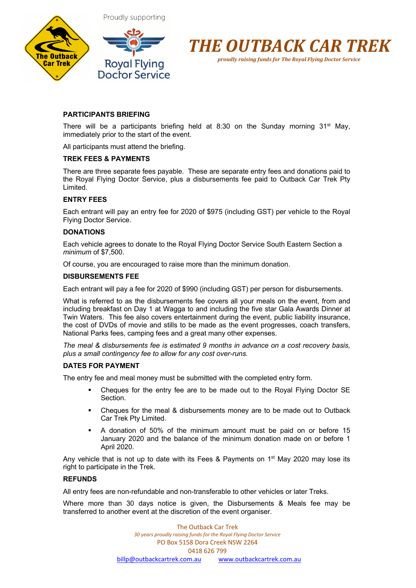



*proudly raising funds for The Royal Flying Doctor Service*

# **PARTICIPANTS BRIEFING**

There will be a participants briefing held at 8:30 on the Sunday morning  $31^{st}$  May, immediately prior to the start of the event.

All participants must attend the briefing.

# **TREK FEES & PAYMENTS**

There are three separate fees payable. These are separate entry fees and donations paid to the Royal Flying Doctor Service, plus a disbursements fee paid to Outback Car Trek Pty Limited.

## **ENTRY FEES**

Each entrant will pay an entry fee for 2020 of \$975 (including GST) per vehicle to the Royal Flying Doctor Service.

## **DONATIONS**

Each vehicle agrees to donate to the Royal Flying Doctor Service South Eastern Section a *minimum* of \$7,500.

Of course, you are encouraged to raise more than the minimum donation.

#### **DISBURSEMENTS FEE**

Each entrant will pay a fee for 2020 of \$990 (including GST) per person for disbursements.

What is referred to as the disbursements fee covers all your meals on the event, from and including breakfast on Day 1 at Wagga to and including the five star Gala Awards Dinner at Twin Waters. This fee also covers entertainment during the event, public liability insurance, the cost of DVDs of movie and stills to be made as the event progresses, coach transfers, National Parks fees, camping fees and a great many other expenses.

*The meal & disbursements fee is estimated 9 months in advance on a cost recovery basis, plus a small contingency fee to allow for any cost over-runs.*

## **DATES FOR PAYMENT**

The entry fee and meal money must be submitted with the completed entry form.

- Cheques for the entry fee are to be made out to the Royal Flying Doctor SE Section.
- § Cheques for the meal & disbursements money are to be made out to Outback Car Trek Pty Limited.
- § A donation of 50% of the minimum amount must be paid on or before 15 January 2020 and the balance of the minimum donation made on or before 1 April 2020.

Any vehicle that is not up to date with its Fees & Payments on  $1<sup>st</sup>$  May 2020 may lose its right to participate in the Trek.

# **REFUNDS**

All entry fees are non-refundable and non-transferable to other vehicles or later Treks.

Where more than 30 days notice is given, the Disbursements & Meals fee may be transferred to another event at the discretion of the event organiser.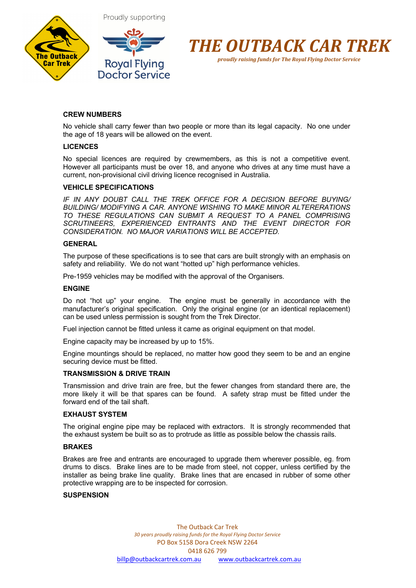





## **CREW NUMBERS**

No vehicle shall carry fewer than two people or more than its legal capacity. No one under the age of 18 years will be allowed on the event.

#### **LICENCES**

No special licences are required by crewmembers, as this is not a competitive event. However all participants must be over 18, and anyone who drives at any time must have a current, non-provisional civil driving licence recognised in Australia.

## **VEHICLE SPECIFICATIONS**

*IF IN ANY DOUBT CALL THE TREK OFFICE FOR A DECISION BEFORE BUYING/ BUILDING/ MODIFYING A CAR. ANYONE WISHING TO MAKE MINOR ALTERERATIONS TO THESE REGULATIONS CAN SUBMIT A REQUEST TO A PANEL COMPRISING SCRUTINEERS, EXPERIENCED ENTRANTS AND THE EVENT DIRECTOR FOR CONSIDERATION. NO MAJOR VARIATIONS WILL BE ACCEPTED.*

#### **GENERAL**

The purpose of these specifications is to see that cars are built strongly with an emphasis on safety and reliability. We do not want "hotted up" high performance vehicles.

Pre-1959 vehicles may be modified with the approval of the Organisers.

#### **ENGINE**

Do not "hot up" your engine. The engine must be generally in accordance with the manufacturer's original specification. Only the original engine (or an identical replacement) can be used unless permission is sought from the Trek Director.

Fuel injection cannot be fitted unless it came as original equipment on that model.

Engine capacity may be increased by up to 15%.

Engine mountings should be replaced, no matter how good they seem to be and an engine securing device must be fitted.

#### **TRANSMISSION & DRIVE TRAIN**

Transmission and drive train are free, but the fewer changes from standard there are, the more likely it will be that spares can be found. A safety strap must be fitted under the forward end of the tail shaft.

#### **EXHAUST SYSTEM**

The original engine pipe may be replaced with extractors. It is strongly recommended that the exhaust system be built so as to protrude as little as possible below the chassis rails.

#### **BRAKES**

Brakes are free and entrants are encouraged to upgrade them wherever possible, eg. from drums to discs. Brake lines are to be made from steel, not copper, unless certified by the installer as being brake line quality. Brake lines that are encased in rubber of some other protective wrapping are to be inspected for corrosion.

#### **SUSPENSION**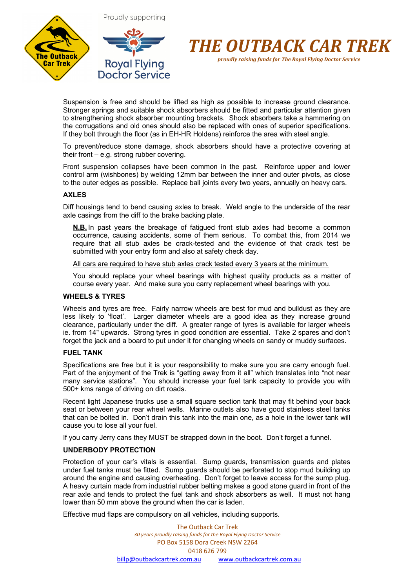



*proudly raising funds for The Royal Flying Doctor Service*

Suspension is free and should be lifted as high as possible to increase ground clearance. Stronger springs and suitable shock absorbers should be fitted and particular attention given to strengthening shock absorber mounting brackets. Shock absorbers take a hammering on the corrugations and old ones should also be replaced with ones of superior specifications. If they bolt through the floor (as in EH-HR Holdens) reinforce the area with steel angle.

To prevent/reduce stone damage, shock absorbers should have a protective covering at their front – e.g. strong rubber covering.

Front suspension collapses have been common in the past. Reinforce upper and lower control arm (wishbones) by welding 12mm bar between the inner and outer pivots, as close to the outer edges as possible. Replace ball joints every two years, annually on heavy cars.

## **AXLES**

Diff housings tend to bend causing axles to break. Weld angle to the underside of the rear axle casings from the diff to the brake backing plate.

**N.B.** In past years the breakage of fatigued front stub axles had become a common occurrence, causing accidents, some of them serious. To combat this, from 2014 we require that all stub axles be crack-tested and the evidence of that crack test be submitted with your entry form and also at safety check day.

All cars are required to have stub axles crack tested every 3 years at the minimum.

You should replace your wheel bearings with highest quality products as a matter of course every year. And make sure you carry replacement wheel bearings with you.

## **WHEELS & TYRES**

Wheels and tyres are free. Fairly narrow wheels are best for mud and bulldust as they are less likely to 'float'. Larger diameter wheels are a good idea as they increase ground clearance, particularly under the diff. A greater range of tyres is available for larger wheels ie. from 14" upwards. Strong tyres in good condition are essential. Take 2 spares and don't forget the jack and a board to put under it for changing wheels on sandy or muddy surfaces.

#### **FUEL TANK**

Specifications are free but it is your responsibility to make sure you are carry enough fuel. Part of the enjoyment of the Trek is "getting away from it all" which translates into "not near many service stations". You should increase your fuel tank capacity to provide you with 500+ kms range of driving on dirt roads.

Recent light Japanese trucks use a small square section tank that may fit behind your back seat or between your rear wheel wells. Marine outlets also have good stainless steel tanks that can be bolted in. Don't drain this tank into the main one, as a hole in the lower tank will cause you to lose all your fuel.

If you carry Jerry cans they MUST be strapped down in the boot. Don't forget a funnel.

## **UNDERBODY PROTECTION**

Protection of your car's vitals is essential. Sump guards, transmission guards and plates under fuel tanks must be fitted. Sump guards should be perforated to stop mud building up around the engine and causing overheating. Don't forget to leave access for the sump plug. A heavy curtain made from industrial rubber belting makes a good stone guard in front of the rear axle and tends to protect the fuel tank and shock absorbers as well. It must not hang lower than 50 mm above the ground when the car is laden.

Effective mud flaps are compulsory on all vehicles, including supports.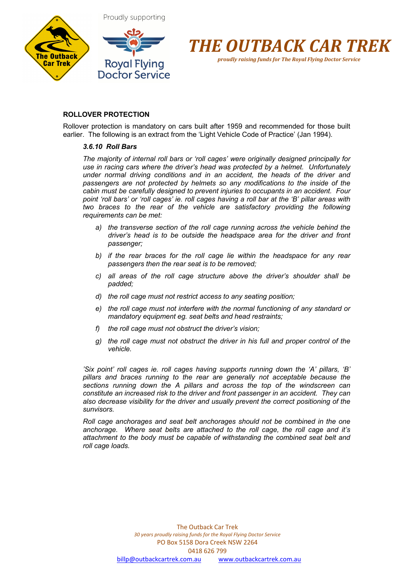



# **ROLLOVER PROTECTION**

Rollover protection is mandatory on cars built after 1959 and recommended for those built earlier. The following is an extract from the 'Light Vehicle Code of Practice' (Jan 1994).

#### *3.6.10 Roll Bars*

*The majority of internal roll bars or 'roll cages' were originally designed principally for use in racing cars where the driver's head was protected by a helmet. Unfortunately under normal driving conditions and in an accident, the heads of the driver and passengers are not protected by helmets so any modifications to the inside of the cabin must be carefully designed to prevent injuries to occupants in an accident. Four point 'roll bars' or 'roll cages' ie. roll cages having a roll bar at the 'B' pillar areas with two braces to the rear of the vehicle are satisfactory providing the following requirements can be met:*

- *a) the transverse section of the roll cage running across the vehicle behind the driver's head is to be outside the headspace area for the driver and front passenger;*
- *b) if the rear braces for the roll cage lie within the headspace for any rear passengers then the rear seat is to be removed;*
- *c) all areas of the roll cage structure above the driver's shoulder shall be padded;*
- *d) the roll cage must not restrict access to any seating position;*
- *e) the roll cage must not interfere with the normal functioning of any standard or mandatory equipment eg. seat belts and head restraints;*
- *f) the roll cage must not obstruct the driver's vision;*
- *g) the roll cage must not obstruct the driver in his full and proper control of the vehicle.*

*'Six point' roll cages ie. roll cages having supports running down the 'A' pillars, 'B' pillars and braces running to the rear are generally not acceptable because the sections running down the A pillars and across the top of the windscreen can constitute an increased risk to the driver and front passenger in an accident. They can also decrease visibility for the driver and usually prevent the correct positioning of the sunvisors.* 

*Roll cage anchorages and seat belt anchorages should not be combined in the one anchorage. Where seat belts are attached to the roll cage, the roll cage and it's attachment to the body must be capable of withstanding the combined seat belt and roll cage loads.*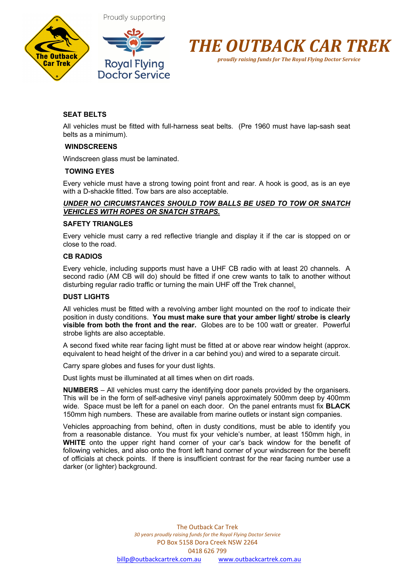



Proudly supporting



*proudly raising funds for The Royal Flying Doctor Service*

# **SEAT BELTS**

All vehicles must be fitted with full-harness seat belts. (Pre 1960 must have lap-sash seat belts as a minimum).

## **WINDSCREENS**

Windscreen glass must be laminated.

#### **TOWING EYES**

Every vehicle must have a strong towing point front and rear. A hook is good, as is an eye with a D-shackle fitted. Tow bars are also acceptable.

## *UNDER NO CIRCUMSTANCES SHOULD TOW BALLS BE USED TO TOW OR SNATCH VEHICLES WITH ROPES OR SNATCH STRAPS.*

#### **SAFETY TRIANGLES**

Every vehicle must carry a red reflective triangle and display it if the car is stopped on or close to the road.

## **CB RADIOS**

Every vehicle, including supports must have a UHF CB radio with at least 20 channels. A second radio (AM CB will do) should be fitted if one crew wants to talk to another without disturbing regular radio traffic or turning the main UHF off the Trek channel.

#### **DUST LIGHTS**

All vehicles must be fitted with a revolving amber light mounted on the roof to indicate their position in dusty conditions. **You must make sure that your amber light/ strobe is clearly visible from both the front and the rear.** Globes are to be 100 watt or greater. Powerful strobe lights are also acceptable.

A second fixed white rear facing light must be fitted at or above rear window height (approx. equivalent to head height of the driver in a car behind you) and wired to a separate circuit.

Carry spare globes and fuses for your dust lights.

Dust lights must be illuminated at all times when on dirt roads.

**NUMBERS** – All vehicles must carry the identifying door panels provided by the organisers. This will be in the form of self-adhesive vinyl panels approximately 500mm deep by 400mm wide. Space must be left for a panel on each door. On the panel entrants must fix **BLACK** 150mm high numbers. These are available from marine outlets or instant sign companies.

Vehicles approaching from behind, often in dusty conditions, must be able to identify you from a reasonable distance. You must fix your vehicle's number, at least 150mm high, in **WHITE** onto the upper right hand corner of your car's back window for the benefit of following vehicles, and also onto the front left hand corner of your windscreen for the benefit of officials at check points. If there is insufficient contrast for the rear facing number use a darker (or lighter) background.

> The Outback Car Trek *30 years proudly raising funds for the Royal Flying Doctor Service* PO Box 5158 Dora Creek NSW 2264 0418 626 799 billp@outbackcartrek.com.au www.outbackcartrek.com.au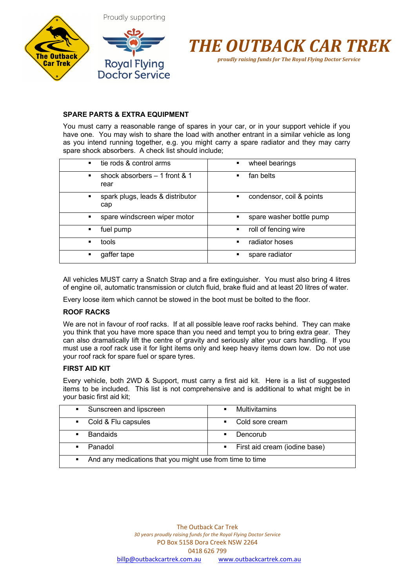



# **SPARE PARTS & EXTRA EQUIPMENT**

You must carry a reasonable range of spares in your car, or in your support vehicle if you have one. You may wish to share the load with another entrant in a similar vehicle as long as you intend running together, e.g. you might carry a spare radiator and they may carry spare shock absorbers. A check list should include;

| tie rods & control arms                      | wheel bearings                |
|----------------------------------------------|-------------------------------|
| $\blacksquare$                               | ٠                             |
| shock absorbers $-1$ front & 1<br>٠<br>rear  | fan belts<br>п                |
| spark plugs, leads & distributor<br>٠<br>cap | condensor, coil & points<br>٠ |
| spare windscreen wiper motor<br>٠            | spare washer bottle pump      |
| fuel pump                                    | roll of fencing wire          |
| ٠                                            | $\blacksquare$                |
| tools                                        | radiator hoses                |
| ٠                                            | $\blacksquare$                |
| gaffer tape                                  | spare radiator                |
| ٠                                            | ٠                             |

All vehicles MUST carry a Snatch Strap and a fire extinguisher. You must also bring 4 litres of engine oil, automatic transmission or clutch fluid, brake fluid and at least 20 litres of water.

Every loose item which cannot be stowed in the boot must be bolted to the floor.

### **ROOF RACKS**

We are not in favour of roof racks. If at all possible leave roof racks behind. They can make you think that you have more space than you need and tempt you to bring extra gear. They can also dramatically lift the centre of gravity and seriously alter your cars handling. If you must use a roof rack use it for light items only and keep heavy items down low. Do not use your roof rack for spare fuel or spare tyres.

#### **FIRST AID KIT**

Every vehicle, both 2WD & Support, must carry a first aid kit. Here is a list of suggested items to be included. This list is not comprehensive and is additional to what might be in your basic first aid kit;

| Sunscreen and lipscreen                                                    | <b>Multivitamins</b>            |
|----------------------------------------------------------------------------|---------------------------------|
| $\mathbf{u}$                                                               | $\blacksquare$                  |
| Cold & Flu capsules                                                        | Cold sore cream                 |
| $\blacksquare$ .                                                           | $\blacksquare$                  |
| <b>Bandaids</b>                                                            | Dencorub                        |
| $\blacksquare$                                                             | $\blacksquare$                  |
| Panadol<br>$\blacksquare$                                                  | • First aid cream (iodine base) |
| And any medications that you might use from time to time<br>$\blacksquare$ |                                 |